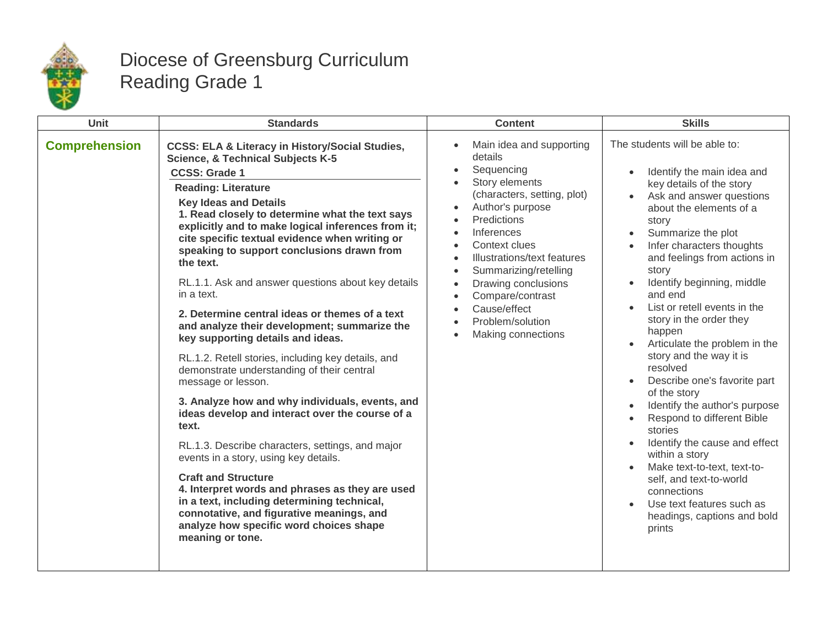

## Diocese of Greensburg Curriculum Reading Grade 1

| <b>Unit</b>          | <b>Standards</b>                                                                                                                                                                                                                                                                                                                                                                                                                                                                                                                                                                                                                                                                                                                                                                                                                                                                                                                                                                                                                                                                                                                                                                                                    | <b>Content</b>                                                                                                                                                                                                                                                                                                                                                                                                                                                                                                          | <b>Skills</b>                                                                                                                                                                                                                                                                                                                                                                                                                                                                                                                                                                                                                                                                                                                                                                                   |
|----------------------|---------------------------------------------------------------------------------------------------------------------------------------------------------------------------------------------------------------------------------------------------------------------------------------------------------------------------------------------------------------------------------------------------------------------------------------------------------------------------------------------------------------------------------------------------------------------------------------------------------------------------------------------------------------------------------------------------------------------------------------------------------------------------------------------------------------------------------------------------------------------------------------------------------------------------------------------------------------------------------------------------------------------------------------------------------------------------------------------------------------------------------------------------------------------------------------------------------------------|-------------------------------------------------------------------------------------------------------------------------------------------------------------------------------------------------------------------------------------------------------------------------------------------------------------------------------------------------------------------------------------------------------------------------------------------------------------------------------------------------------------------------|-------------------------------------------------------------------------------------------------------------------------------------------------------------------------------------------------------------------------------------------------------------------------------------------------------------------------------------------------------------------------------------------------------------------------------------------------------------------------------------------------------------------------------------------------------------------------------------------------------------------------------------------------------------------------------------------------------------------------------------------------------------------------------------------------|
| <b>Comprehension</b> | <b>CCSS: ELA &amp; Literacy in History/Social Studies,</b><br><b>Science, &amp; Technical Subjects K-5</b><br><b>CCSS: Grade 1</b><br><b>Reading: Literature</b><br><b>Key Ideas and Details</b><br>1. Read closely to determine what the text says<br>explicitly and to make logical inferences from it;<br>cite specific textual evidence when writing or<br>speaking to support conclusions drawn from<br>the text.<br>RL.1.1. Ask and answer questions about key details<br>in a text.<br>2. Determine central ideas or themes of a text<br>and analyze their development; summarize the<br>key supporting details and ideas.<br>RL.1.2. Retell stories, including key details, and<br>demonstrate understanding of their central<br>message or lesson.<br>3. Analyze how and why individuals, events, and<br>ideas develop and interact over the course of a<br>text.<br>RL.1.3. Describe characters, settings, and major<br>events in a story, using key details.<br><b>Craft and Structure</b><br>4. Interpret words and phrases as they are used<br>in a text, including determining technical,<br>connotative, and figurative meanings, and<br>analyze how specific word choices shape<br>meaning or tone. | Main idea and supporting<br>$\bullet$<br>details<br>Sequencing<br>$\bullet$<br>Story elements<br>$\bullet$<br>(characters, setting, plot)<br>Author's purpose<br>$\bullet$<br>Predictions<br>$\bullet$<br>Inferences<br>$\bullet$<br>Context clues<br>$\bullet$<br>Illustrations/text features<br>$\bullet$<br>Summarizing/retelling<br>$\bullet$<br>Drawing conclusions<br>$\bullet$<br>Compare/contrast<br>$\bullet$<br>Cause/effect<br>$\bullet$<br>Problem/solution<br>$\bullet$<br>Making connections<br>$\bullet$ | The students will be able to:<br>Identify the main idea and<br>key details of the story<br>Ask and answer questions<br>$\bullet$<br>about the elements of a<br>story<br>Summarize the plot<br>$\bullet$<br>Infer characters thoughts<br>and feelings from actions in<br>story<br>Identify beginning, middle<br>and end<br>List or retell events in the<br>story in the order they<br>happen<br>Articulate the problem in the<br>story and the way it is<br>resolved<br>Describe one's favorite part<br>of the story<br>Identify the author's purpose<br>Respond to different Bible<br>stories<br>Identify the cause and effect<br>within a story<br>Make text-to-text, text-to-<br>self, and text-to-world<br>connections<br>Use text features such as<br>headings, captions and bold<br>prints |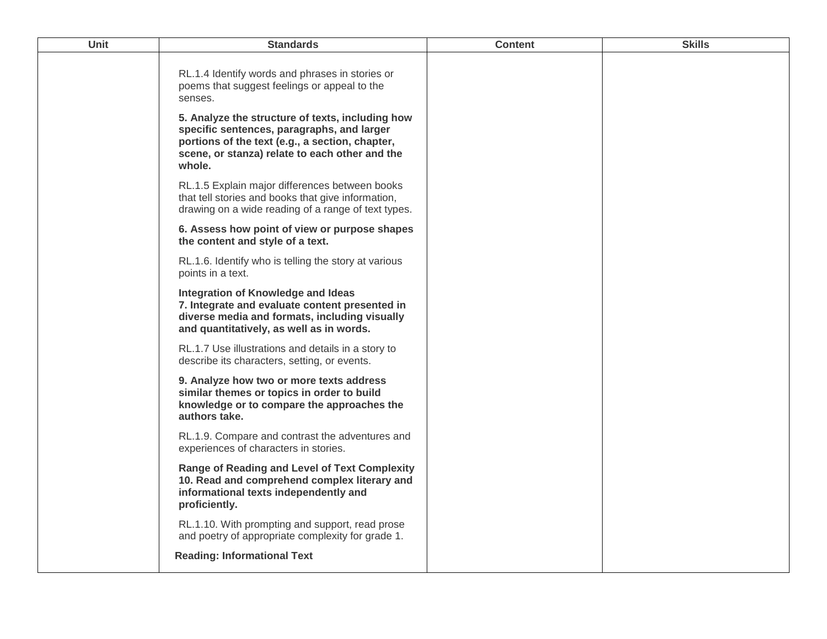| Unit | <b>Standards</b>                                                                                                                                                                                              | <b>Content</b> | <b>Skills</b> |
|------|---------------------------------------------------------------------------------------------------------------------------------------------------------------------------------------------------------------|----------------|---------------|
|      | RL.1.4 Identify words and phrases in stories or<br>poems that suggest feelings or appeal to the<br>senses.                                                                                                    |                |               |
|      | 5. Analyze the structure of texts, including how<br>specific sentences, paragraphs, and larger<br>portions of the text (e.g., a section, chapter,<br>scene, or stanza) relate to each other and the<br>whole. |                |               |
|      | RL.1.5 Explain major differences between books<br>that tell stories and books that give information,<br>drawing on a wide reading of a range of text types.                                                   |                |               |
|      | 6. Assess how point of view or purpose shapes<br>the content and style of a text.                                                                                                                             |                |               |
|      | RL.1.6. Identify who is telling the story at various<br>points in a text.                                                                                                                                     |                |               |
|      | Integration of Knowledge and Ideas<br>7. Integrate and evaluate content presented in<br>diverse media and formats, including visually<br>and quantitatively, as well as in words.                             |                |               |
|      | RL.1.7 Use illustrations and details in a story to<br>describe its characters, setting, or events.                                                                                                            |                |               |
|      | 9. Analyze how two or more texts address<br>similar themes or topics in order to build<br>knowledge or to compare the approaches the<br>authors take.                                                         |                |               |
|      | RL.1.9. Compare and contrast the adventures and<br>experiences of characters in stories.                                                                                                                      |                |               |
|      | <b>Range of Reading and Level of Text Complexity</b><br>10. Read and comprehend complex literary and<br>informational texts independently and<br>proficiently.                                                |                |               |
|      | RL.1.10. With prompting and support, read prose<br>and poetry of appropriate complexity for grade 1.                                                                                                          |                |               |
|      | <b>Reading: Informational Text</b>                                                                                                                                                                            |                |               |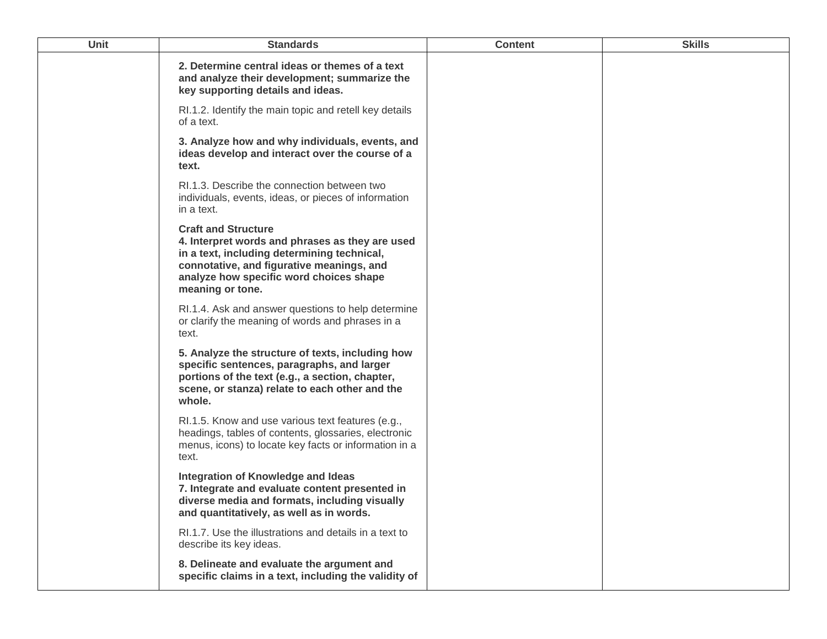| Unit | <b>Standards</b>                                                                                                                                                                                                                         | <b>Content</b> | <b>Skills</b> |
|------|------------------------------------------------------------------------------------------------------------------------------------------------------------------------------------------------------------------------------------------|----------------|---------------|
|      | 2. Determine central ideas or themes of a text<br>and analyze their development; summarize the<br>key supporting details and ideas.                                                                                                      |                |               |
|      | RI.1.2. Identify the main topic and retell key details<br>of a text.                                                                                                                                                                     |                |               |
|      | 3. Analyze how and why individuals, events, and<br>ideas develop and interact over the course of a<br>text.                                                                                                                              |                |               |
|      | RI.1.3. Describe the connection between two<br>individuals, events, ideas, or pieces of information<br>in a text.                                                                                                                        |                |               |
|      | <b>Craft and Structure</b><br>4. Interpret words and phrases as they are used<br>in a text, including determining technical,<br>connotative, and figurative meanings, and<br>analyze how specific word choices shape<br>meaning or tone. |                |               |
|      | RI.1.4. Ask and answer questions to help determine<br>or clarify the meaning of words and phrases in a<br>text.                                                                                                                          |                |               |
|      | 5. Analyze the structure of texts, including how<br>specific sentences, paragraphs, and larger<br>portions of the text (e.g., a section, chapter,<br>scene, or stanza) relate to each other and the<br>whole.                            |                |               |
|      | RI.1.5. Know and use various text features (e.g.,<br>headings, tables of contents, glossaries, electronic<br>menus, icons) to locate key facts or information in a<br>text.                                                              |                |               |
|      | Integration of Knowledge and Ideas<br>7. Integrate and evaluate content presented in<br>diverse media and formats, including visually<br>and quantitatively, as well as in words.                                                        |                |               |
|      | RI.1.7. Use the illustrations and details in a text to<br>describe its key ideas.                                                                                                                                                        |                |               |
|      | 8. Delineate and evaluate the argument and<br>specific claims in a text, including the validity of                                                                                                                                       |                |               |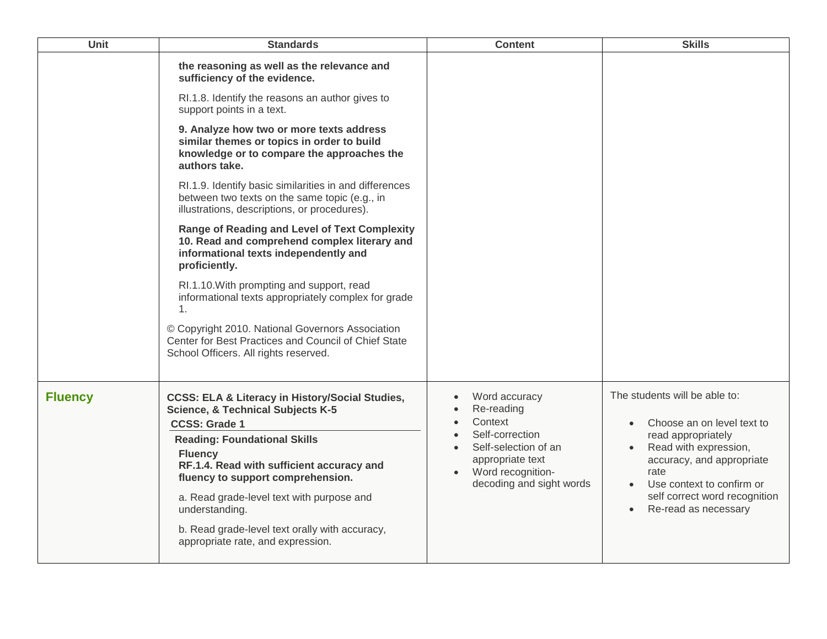| Unit           | <b>Standards</b>                                                                                                                                                                                                                                                                                                                                                                                                                    | <b>Content</b>                                                                                                                                         | <b>Skills</b>                                                                                                                                                                                                                                      |
|----------------|-------------------------------------------------------------------------------------------------------------------------------------------------------------------------------------------------------------------------------------------------------------------------------------------------------------------------------------------------------------------------------------------------------------------------------------|--------------------------------------------------------------------------------------------------------------------------------------------------------|----------------------------------------------------------------------------------------------------------------------------------------------------------------------------------------------------------------------------------------------------|
|                | the reasoning as well as the relevance and<br>sufficiency of the evidence.                                                                                                                                                                                                                                                                                                                                                          |                                                                                                                                                        |                                                                                                                                                                                                                                                    |
|                | RI.1.8. Identify the reasons an author gives to<br>support points in a text.                                                                                                                                                                                                                                                                                                                                                        |                                                                                                                                                        |                                                                                                                                                                                                                                                    |
|                | 9. Analyze how two or more texts address<br>similar themes or topics in order to build<br>knowledge or to compare the approaches the<br>authors take.                                                                                                                                                                                                                                                                               |                                                                                                                                                        |                                                                                                                                                                                                                                                    |
|                | RI.1.9. Identify basic similarities in and differences<br>between two texts on the same topic (e.g., in<br>illustrations, descriptions, or procedures).                                                                                                                                                                                                                                                                             |                                                                                                                                                        |                                                                                                                                                                                                                                                    |
|                | <b>Range of Reading and Level of Text Complexity</b><br>10. Read and comprehend complex literary and<br>informational texts independently and<br>proficiently.                                                                                                                                                                                                                                                                      |                                                                                                                                                        |                                                                                                                                                                                                                                                    |
|                | RI.1.10. With prompting and support, read<br>informational texts appropriately complex for grade<br>1 <sub>1</sub>                                                                                                                                                                                                                                                                                                                  |                                                                                                                                                        |                                                                                                                                                                                                                                                    |
|                | © Copyright 2010. National Governors Association<br>Center for Best Practices and Council of Chief State<br>School Officers. All rights reserved.                                                                                                                                                                                                                                                                                   |                                                                                                                                                        |                                                                                                                                                                                                                                                    |
| <b>Fluency</b> | <b>CCSS: ELA &amp; Literacy in History/Social Studies,</b><br><b>Science, &amp; Technical Subjects K-5</b><br><b>CCSS: Grade 1</b><br><b>Reading: Foundational Skills</b><br><b>Fluency</b><br>RF.1.4. Read with sufficient accuracy and<br>fluency to support comprehension.<br>a. Read grade-level text with purpose and<br>understanding.<br>b. Read grade-level text orally with accuracy,<br>appropriate rate, and expression. | Word accuracy<br>Re-reading<br>Context<br>Self-correction<br>Self-selection of an<br>appropriate text<br>Word recognition-<br>decoding and sight words | The students will be able to:<br>Choose an on level text to<br>$\bullet$<br>read appropriately<br>Read with expression,<br>accuracy, and appropriate<br>rate<br>Use context to confirm or<br>self correct word recognition<br>Re-read as necessary |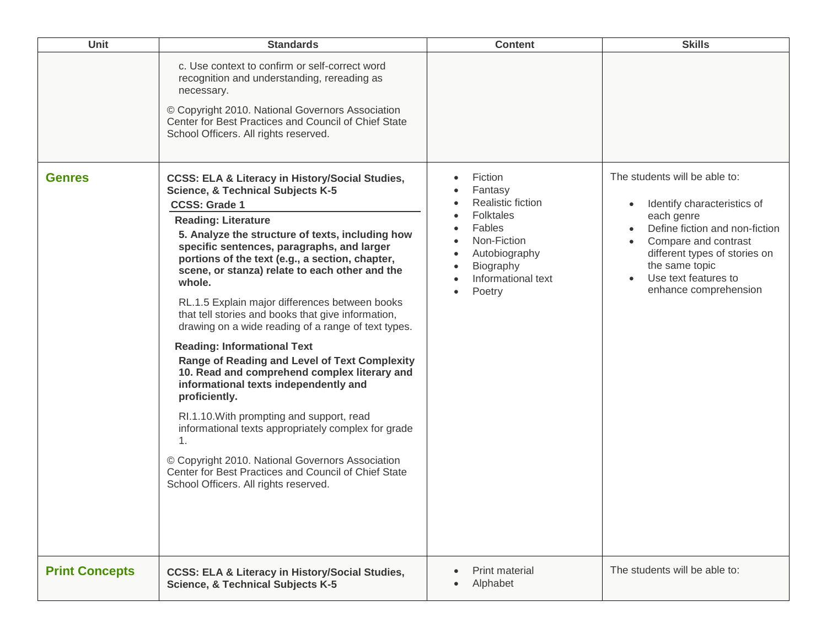| Unit                  | <b>Standards</b>                                                                                                                                                                                                                                                                                                                                                                                                                                                                                                                                                                                                                                                                                                                                                                                                                                                                                                                                                                                                             | <b>Content</b>                                                                                                                                                  | <b>Skills</b>                                                                                                                                                                                                                                         |
|-----------------------|------------------------------------------------------------------------------------------------------------------------------------------------------------------------------------------------------------------------------------------------------------------------------------------------------------------------------------------------------------------------------------------------------------------------------------------------------------------------------------------------------------------------------------------------------------------------------------------------------------------------------------------------------------------------------------------------------------------------------------------------------------------------------------------------------------------------------------------------------------------------------------------------------------------------------------------------------------------------------------------------------------------------------|-----------------------------------------------------------------------------------------------------------------------------------------------------------------|-------------------------------------------------------------------------------------------------------------------------------------------------------------------------------------------------------------------------------------------------------|
|                       | c. Use context to confirm or self-correct word<br>recognition and understanding, rereading as<br>necessary.<br>© Copyright 2010. National Governors Association<br>Center for Best Practices and Council of Chief State<br>School Officers. All rights reserved.                                                                                                                                                                                                                                                                                                                                                                                                                                                                                                                                                                                                                                                                                                                                                             |                                                                                                                                                                 |                                                                                                                                                                                                                                                       |
| <b>Genres</b>         | <b>CCSS: ELA &amp; Literacy in History/Social Studies,</b><br><b>Science, &amp; Technical Subjects K-5</b><br><b>CCSS: Grade 1</b><br><b>Reading: Literature</b><br>5. Analyze the structure of texts, including how<br>specific sentences, paragraphs, and larger<br>portions of the text (e.g., a section, chapter,<br>scene, or stanza) relate to each other and the<br>whole.<br>RL.1.5 Explain major differences between books<br>that tell stories and books that give information,<br>drawing on a wide reading of a range of text types.<br><b>Reading: Informational Text</b><br>Range of Reading and Level of Text Complexity<br>10. Read and comprehend complex literary and<br>informational texts independently and<br>proficiently.<br>RI.1.10. With prompting and support, read<br>informational texts appropriately complex for grade<br>$\mathbf{1}$ .<br>© Copyright 2010. National Governors Association<br>Center for Best Practices and Council of Chief State<br>School Officers. All rights reserved. | Fiction<br>$\bullet$<br>Fantasy<br>Realistic fiction<br><b>Folktales</b><br>Fables<br>Non-Fiction<br>Autobiography<br>Biography<br>Informational text<br>Poetry | The students will be able to:<br>Identify characteristics of<br>$\bullet$<br>each genre<br>Define fiction and non-fiction<br>Compare and contrast<br>different types of stories on<br>the same topic<br>Use text features to<br>enhance comprehension |
| <b>Print Concepts</b> | <b>CCSS: ELA &amp; Literacy in History/Social Studies,</b><br><b>Science, &amp; Technical Subjects K-5</b>                                                                                                                                                                                                                                                                                                                                                                                                                                                                                                                                                                                                                                                                                                                                                                                                                                                                                                                   | <b>Print material</b><br>Alphabet                                                                                                                               | The students will be able to:                                                                                                                                                                                                                         |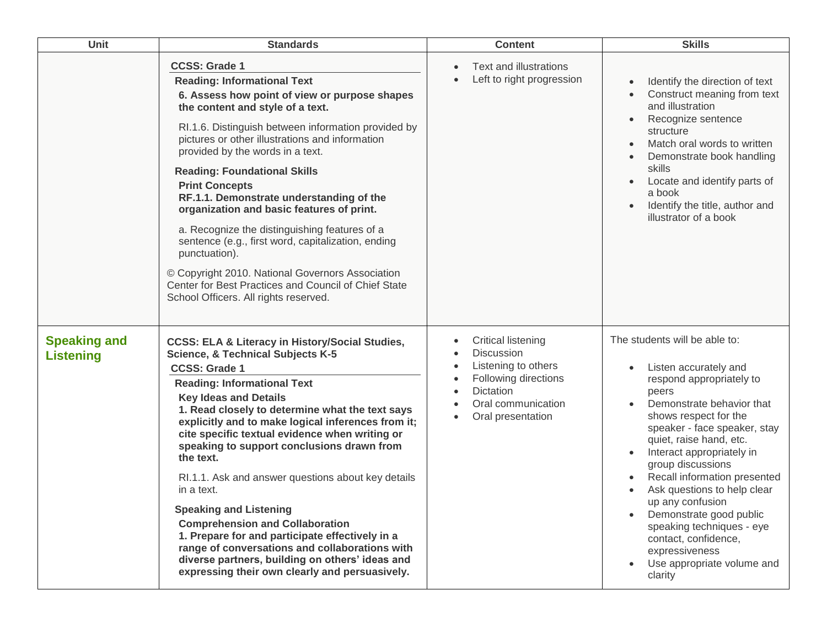| Unit                                    | <b>Standards</b>                                                                                                                                                                                                                                                                                                                                                                                                                                                                                                                                                                                                                                                                                                                                                                        | <b>Content</b>                                                                                                                                        | <b>Skills</b>                                                                                                                                                                                                                                                                                                                                                                                                                                                                                |
|-----------------------------------------|-----------------------------------------------------------------------------------------------------------------------------------------------------------------------------------------------------------------------------------------------------------------------------------------------------------------------------------------------------------------------------------------------------------------------------------------------------------------------------------------------------------------------------------------------------------------------------------------------------------------------------------------------------------------------------------------------------------------------------------------------------------------------------------------|-------------------------------------------------------------------------------------------------------------------------------------------------------|----------------------------------------------------------------------------------------------------------------------------------------------------------------------------------------------------------------------------------------------------------------------------------------------------------------------------------------------------------------------------------------------------------------------------------------------------------------------------------------------|
|                                         | <b>CCSS: Grade 1</b><br><b>Reading: Informational Text</b><br>6. Assess how point of view or purpose shapes<br>the content and style of a text.<br>RI.1.6. Distinguish between information provided by<br>pictures or other illustrations and information<br>provided by the words in a text.<br><b>Reading: Foundational Skills</b><br><b>Print Concepts</b><br>RF.1.1. Demonstrate understanding of the<br>organization and basic features of print.<br>a. Recognize the distinguishing features of a<br>sentence (e.g., first word, capitalization, ending<br>punctuation).<br>© Copyright 2010. National Governors Association<br>Center for Best Practices and Council of Chief State<br>School Officers. All rights reserved.                                                     | Text and illustrations<br>Left to right progression                                                                                                   | Identify the direction of text<br>Construct meaning from text<br>and illustration<br>Recognize sentence<br>structure<br>Match oral words to written<br>Demonstrate book handling<br>skills<br>Locate and identify parts of<br>a book<br>Identify the title, author and<br>illustrator of a book                                                                                                                                                                                              |
| <b>Speaking and</b><br><b>Listening</b> | <b>CCSS: ELA &amp; Literacy in History/Social Studies,</b><br><b>Science, &amp; Technical Subjects K-5</b><br><b>CCSS: Grade 1</b><br><b>Reading: Informational Text</b><br><b>Key Ideas and Details</b><br>1. Read closely to determine what the text says<br>explicitly and to make logical inferences from it;<br>cite specific textual evidence when writing or<br>speaking to support conclusions drawn from<br>the text.<br>RI.1.1. Ask and answer questions about key details<br>in a text.<br><b>Speaking and Listening</b><br><b>Comprehension and Collaboration</b><br>1. Prepare for and participate effectively in a<br>range of conversations and collaborations with<br>diverse partners, building on others' ideas and<br>expressing their own clearly and persuasively. | <b>Critical listening</b><br>Discussion<br>Listening to others<br>Following directions<br><b>Dictation</b><br>Oral communication<br>Oral presentation | The students will be able to:<br>Listen accurately and<br>respond appropriately to<br>peers<br>Demonstrate behavior that<br>shows respect for the<br>speaker - face speaker, stay<br>quiet, raise hand, etc.<br>Interact appropriately in<br>group discussions<br>Recall information presented<br>Ask questions to help clear<br>up any confusion<br>Demonstrate good public<br>speaking techniques - eye<br>contact, confidence,<br>expressiveness<br>Use appropriate volume and<br>clarity |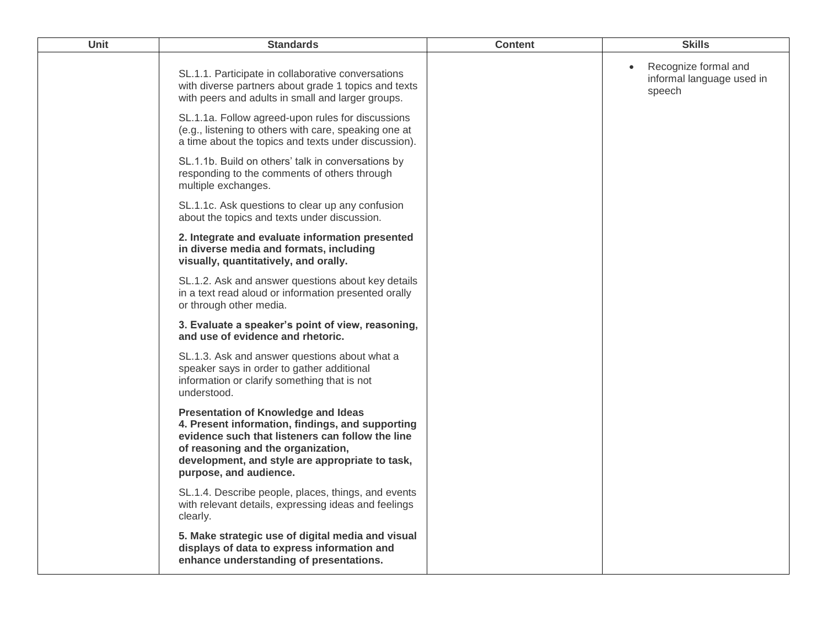| <b>Unit</b> | <b>Standards</b>                                                                                                                                                                                                                                                      | <b>Content</b> | <b>Skills</b>                                               |
|-------------|-----------------------------------------------------------------------------------------------------------------------------------------------------------------------------------------------------------------------------------------------------------------------|----------------|-------------------------------------------------------------|
|             | SL.1.1. Participate in collaborative conversations<br>with diverse partners about grade 1 topics and texts<br>with peers and adults in small and larger groups.                                                                                                       |                | Recognize formal and<br>informal language used in<br>speech |
|             | SL.1.1a. Follow agreed-upon rules for discussions<br>(e.g., listening to others with care, speaking one at<br>a time about the topics and texts under discussion).                                                                                                    |                |                                                             |
|             | SL.1.1b. Build on others' talk in conversations by<br>responding to the comments of others through<br>multiple exchanges.                                                                                                                                             |                |                                                             |
|             | SL.1.1c. Ask questions to clear up any confusion<br>about the topics and texts under discussion.                                                                                                                                                                      |                |                                                             |
|             | 2. Integrate and evaluate information presented<br>in diverse media and formats, including<br>visually, quantitatively, and orally.                                                                                                                                   |                |                                                             |
|             | SL.1.2. Ask and answer questions about key details<br>in a text read aloud or information presented orally<br>or through other media.                                                                                                                                 |                |                                                             |
|             | 3. Evaluate a speaker's point of view, reasoning,<br>and use of evidence and rhetoric.                                                                                                                                                                                |                |                                                             |
|             | SL.1.3. Ask and answer questions about what a<br>speaker says in order to gather additional<br>information or clarify something that is not<br>understood.                                                                                                            |                |                                                             |
|             | <b>Presentation of Knowledge and Ideas</b><br>4. Present information, findings, and supporting<br>evidence such that listeners can follow the line<br>of reasoning and the organization,<br>development, and style are appropriate to task,<br>purpose, and audience. |                |                                                             |
|             | SL.1.4. Describe people, places, things, and events<br>with relevant details, expressing ideas and feelings<br>clearly.                                                                                                                                               |                |                                                             |
|             | 5. Make strategic use of digital media and visual<br>displays of data to express information and<br>enhance understanding of presentations.                                                                                                                           |                |                                                             |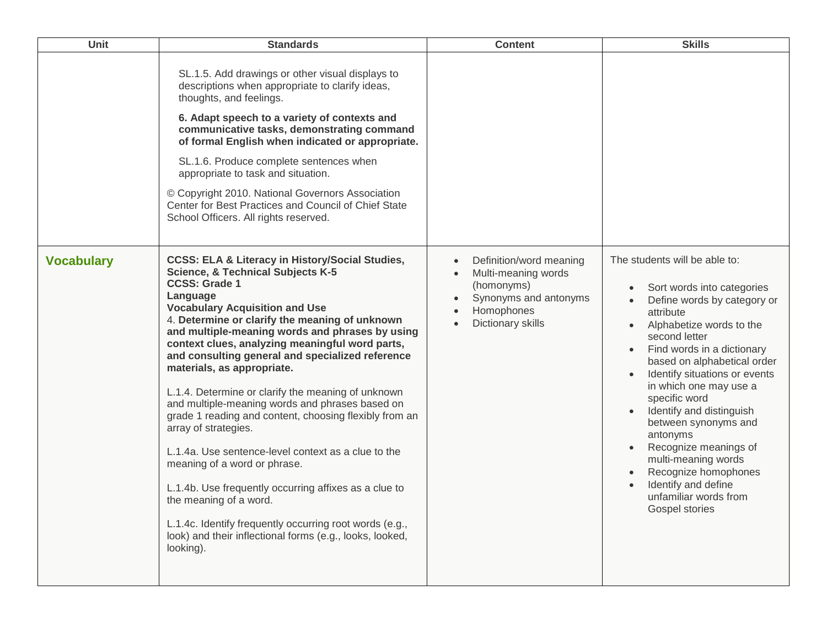| <b>Unit</b>       | <b>Standards</b>                                                                                                                                                                                                                                                                                                                                                                                                                                                                                                                                                                                                                                                                                                                                                                                                                                                                                                                           | <b>Content</b>                                                                                                           | <b>Skills</b>                                                                                                                                                                                                                                                                                                                                                                                                                                                                                           |
|-------------------|--------------------------------------------------------------------------------------------------------------------------------------------------------------------------------------------------------------------------------------------------------------------------------------------------------------------------------------------------------------------------------------------------------------------------------------------------------------------------------------------------------------------------------------------------------------------------------------------------------------------------------------------------------------------------------------------------------------------------------------------------------------------------------------------------------------------------------------------------------------------------------------------------------------------------------------------|--------------------------------------------------------------------------------------------------------------------------|---------------------------------------------------------------------------------------------------------------------------------------------------------------------------------------------------------------------------------------------------------------------------------------------------------------------------------------------------------------------------------------------------------------------------------------------------------------------------------------------------------|
|                   | SL.1.5. Add drawings or other visual displays to<br>descriptions when appropriate to clarify ideas,<br>thoughts, and feelings.<br>6. Adapt speech to a variety of contexts and<br>communicative tasks, demonstrating command<br>of formal English when indicated or appropriate.<br>SL.1.6. Produce complete sentences when<br>appropriate to task and situation.<br>© Copyright 2010. National Governors Association<br>Center for Best Practices and Council of Chief State<br>School Officers. All rights reserved.                                                                                                                                                                                                                                                                                                                                                                                                                     |                                                                                                                          |                                                                                                                                                                                                                                                                                                                                                                                                                                                                                                         |
| <b>Vocabulary</b> | <b>CCSS: ELA &amp; Literacy in History/Social Studies,</b><br><b>Science, &amp; Technical Subjects K-5</b><br><b>CCSS: Grade 1</b><br>Language<br><b>Vocabulary Acquisition and Use</b><br>4. Determine or clarify the meaning of unknown<br>and multiple-meaning words and phrases by using<br>context clues, analyzing meaningful word parts,<br>and consulting general and specialized reference<br>materials, as appropriate.<br>L.1.4. Determine or clarify the meaning of unknown<br>and multiple-meaning words and phrases based on<br>grade 1 reading and content, choosing flexibly from an<br>array of strategies.<br>L.1.4a. Use sentence-level context as a clue to the<br>meaning of a word or phrase.<br>L.1.4b. Use frequently occurring affixes as a clue to<br>the meaning of a word.<br>L.1.4c. Identify frequently occurring root words (e.g.,<br>look) and their inflectional forms (e.g., looks, looked,<br>looking). | Definition/word meaning<br>Multi-meaning words<br>(homonyms)<br>Synonyms and antonyms<br>Homophones<br>Dictionary skills | The students will be able to:<br>Sort words into categories<br>Define words by category or<br>attribute<br>Alphabetize words to the<br>second letter<br>Find words in a dictionary<br>based on alphabetical order<br>Identify situations or events<br>in which one may use a<br>specific word<br>Identify and distinguish<br>between synonyms and<br>antonyms<br>Recognize meanings of<br>multi-meaning words<br>Recognize homophones<br>Identify and define<br>unfamiliar words from<br>Gospel stories |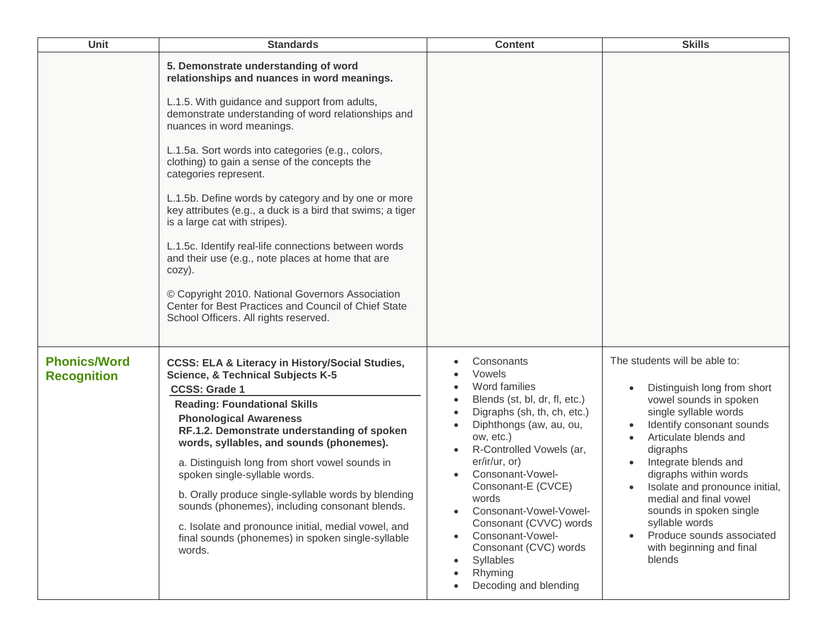| Unit                                      | <b>Standards</b>                                                                                                                                                                                                                                                                                                                                                                                                                                                                                                                                                                                                                                                                                                                                                                          | <b>Content</b>                                                                                                                                                                                                                                                                                                                                                                                                            | <b>Skills</b>                                                                                                                                                                                                                                                                                                                                                                                                  |
|-------------------------------------------|-------------------------------------------------------------------------------------------------------------------------------------------------------------------------------------------------------------------------------------------------------------------------------------------------------------------------------------------------------------------------------------------------------------------------------------------------------------------------------------------------------------------------------------------------------------------------------------------------------------------------------------------------------------------------------------------------------------------------------------------------------------------------------------------|---------------------------------------------------------------------------------------------------------------------------------------------------------------------------------------------------------------------------------------------------------------------------------------------------------------------------------------------------------------------------------------------------------------------------|----------------------------------------------------------------------------------------------------------------------------------------------------------------------------------------------------------------------------------------------------------------------------------------------------------------------------------------------------------------------------------------------------------------|
|                                           | 5. Demonstrate understanding of word<br>relationships and nuances in word meanings.<br>L.1.5. With guidance and support from adults,<br>demonstrate understanding of word relationships and<br>nuances in word meanings.<br>L.1.5a. Sort words into categories (e.g., colors,<br>clothing) to gain a sense of the concepts the<br>categories represent.<br>L.1.5b. Define words by category and by one or more<br>key attributes (e.g., a duck is a bird that swims; a tiger<br>is a large cat with stripes).<br>L.1.5c. Identify real-life connections between words<br>and their use (e.g., note places at home that are<br>cozy).<br>© Copyright 2010. National Governors Association<br>Center for Best Practices and Council of Chief State<br>School Officers. All rights reserved. |                                                                                                                                                                                                                                                                                                                                                                                                                           |                                                                                                                                                                                                                                                                                                                                                                                                                |
| <b>Phonics/Word</b><br><b>Recognition</b> | <b>CCSS: ELA &amp; Literacy in History/Social Studies,</b><br><b>Science, &amp; Technical Subjects K-5</b><br><b>CCSS: Grade 1</b><br><b>Reading: Foundational Skills</b><br><b>Phonological Awareness</b><br>RF.1.2. Demonstrate understanding of spoken<br>words, syllables, and sounds (phonemes).<br>a. Distinguish long from short vowel sounds in<br>spoken single-syllable words.<br>b. Orally produce single-syllable words by blending<br>sounds (phonemes), including consonant blends.<br>c. Isolate and pronounce initial, medial vowel, and<br>final sounds (phonemes) in spoken single-syllable<br>words.                                                                                                                                                                   | Consonants<br>Vowels<br>Word families<br>Blends (st, bl, dr, fl, etc.)<br>Digraphs (sh, th, ch, etc.)<br>Diphthongs (aw, au, ou,<br>ow, etc.)<br>R-Controlled Vowels (ar,<br>er/ir/ur, or)<br>Consonant-Vowel-<br>Consonant-E (CVCE)<br>words<br>Consonant-Vowel-Vowel-<br>$\bullet$<br>Consonant (CVVC) words<br>Consonant-Vowel-<br>$\bullet$<br>Consonant (CVC) words<br>Syllables<br>Rhyming<br>Decoding and blending | The students will be able to:<br>Distinguish long from short<br>vowel sounds in spoken<br>single syllable words<br>Identify consonant sounds<br>Articulate blends and<br>digraphs<br>Integrate blends and<br>digraphs within words<br>Isolate and pronounce initial,<br>medial and final vowel<br>sounds in spoken single<br>syllable words<br>Produce sounds associated<br>with beginning and final<br>blends |